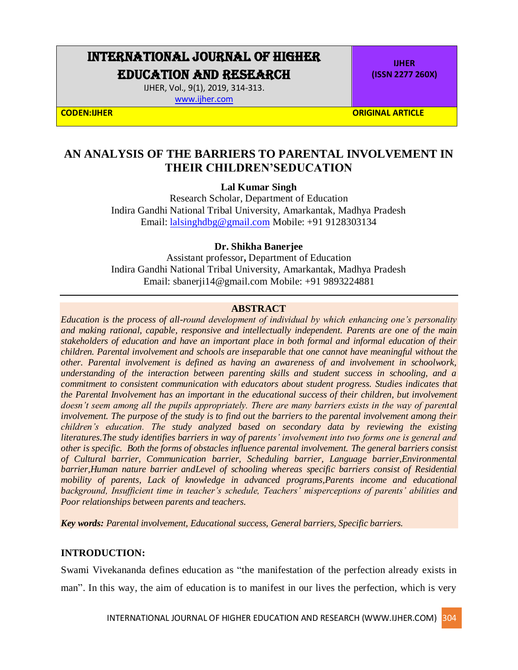# INTERNATIONAL JOURNAL OF HIGHER EDUCATION AND RESEARCH

IJHER, Vol., 9(1), 2019, 314-313.

[www.ijher.com](http://www.ijher.com/)

**IJHER (ISSN 2277 260X)**

**CODEN:IJHER ORIGINAL ARTICLE** 

# **AN ANALYSIS OF THE BARRIERS TO PARENTAL INVOLVEMENT IN THEIR CHILDREN'SEDUCATION**

# **Lal Kumar Singh**

Research Scholar, Department of Education Indira Gandhi National Tribal University, Amarkantak, Madhya Pradesh Email: [lalsinghdbg@gmail.com](mailto:lalsinghdbg@gmail.com) Mobile: +91 9128303134

# **Dr. Shikha Banerjee**

Assistant professor**,** Department of Education Indira Gandhi National Tribal University, Amarkantak, Madhya Pradesh Email: sbanerji14@gmail.com Mobile: +91 9893224881

#### **ABSTRACT**

*Education is the process of all-round development of individual by which enhancing one's personality and making rational, capable, responsive and intellectually independent. Parents are one of the main stakeholders of education and have an important place in both formal and informal education of their children. Parental involvement and schools are inseparable that one cannot have meaningful without the other. Parental involvement is defined as having an awareness of and involvement in schoolwork, understanding of the interaction between parenting skills and student success in schooling, and a commitment to consistent communication with educators about student progress. Studies indicates that the Parental Involvement has an important in the educational success of their children, but involvement doesn't seem among all the pupils appropriately. There are many barriers exists in the way of parental involvement. The purpose of the study is to find out the barriers to the parental involvement among their children's education. The study analyzed based on secondary data by reviewing the existing literatures.The study identifies barriers in way of parents' involvement into two forms one is general and other is specific. Both the forms of obstacles influence parental involvement. The general barriers consist of Cultural barrier, Communication barrier, Scheduling barrier, Language barrier,Environmental barrier,Human nature barrier andLevel of schooling whereas specific barriers consist of Residential mobility of parents, Lack of knowledge in advanced programs,Parents income and educational background, Insufficient time in teacher's schedule, Teachers' misperceptions of parents' abilities and Poor relationships between parents and teachers.*

*Key words: Parental involvement, Educational success, General barriers, Specific barriers.*

#### **INTRODUCTION:**

Swami Vivekananda defines education as "the manifestation of the perfection already exists in man". In this way, the aim of education is to manifest in our lives the perfection, which is very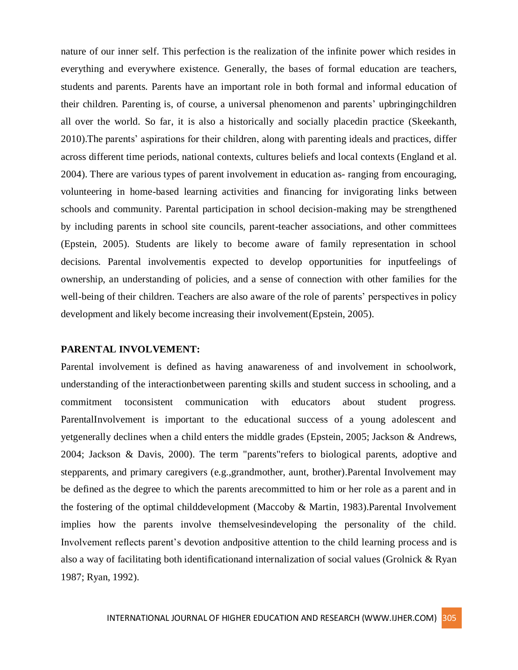nature of our inner self. This perfection is the realization of the infinite power which resides in everything and everywhere existence. Generally, the bases of formal education are teachers, students and parents. Parents have an important role in both formal and informal education of their children. Parenting is, of course, a universal phenomenon and parents' upbringingchildren all over the world. So far, it is also a historically and socially placedin practice (Skeekanth, 2010).The parents' aspirations for their children, along with parenting ideals and practices, differ across different time periods, national contexts, cultures beliefs and local contexts (England et al. 2004). There are various types of parent involvement in education as- ranging from encouraging, volunteering in home-based learning activities and financing for invigorating links between schools and community. Parental participation in school decision-making may be strengthened by including parents in school site councils, parent-teacher associations, and other committees (Epstein, 2005). Students are likely to become aware of family representation in school decisions. Parental involvementis expected to develop opportunities for inputfeelings of ownership, an understanding of policies, and a sense of connection with other families for the well-being of their children. Teachers are also aware of the role of parents' perspectives in policy development and likely become increasing their involvement(Epstein, 2005).

# **PARENTAL INVOLVEMENT:**

Parental involvement is defined as having anawareness of and involvement in schoolwork, understanding of the interactionbetween parenting skills and student success in schooling, and a commitment toconsistent communication with educators about student progress. ParentalInvolvement is important to the educational success of a young adolescent and yetgenerally declines when a child enters the middle grades (Epstein, 2005; Jackson & Andrews, 2004; Jackson & Davis, 2000). The term "parents"refers to biological parents, adoptive and stepparents, and primary caregivers (e.g.,grandmother, aunt, brother).Parental Involvement may be defined as the degree to which the parents arecommitted to him or her role as a parent and in the fostering of the optimal childdevelopment (Maccoby & Martin, 1983).Parental Involvement implies how the parents involve themselvesindeveloping the personality of the child. Involvement reflects parent's devotion andpositive attention to the child learning process and is also a way of facilitating both identificationand internalization of social values (Grolnick & Ryan 1987; Ryan, 1992).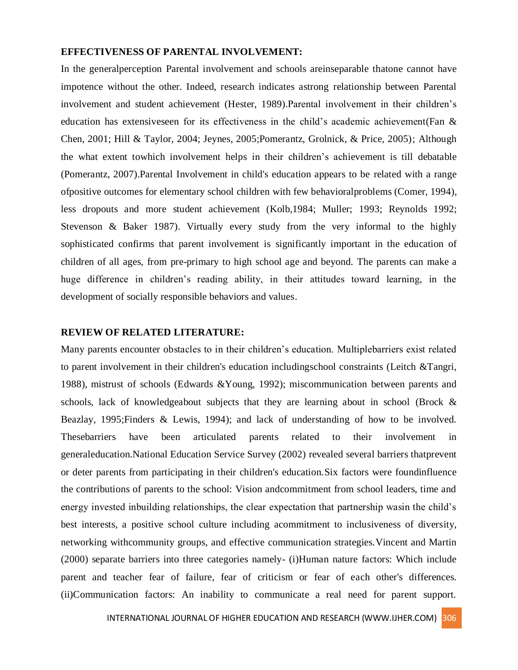#### **EFFECTIVENESS OF PARENTAL INVOLVEMENT:**

In the generalperception Parental involvement and schools areinseparable thatone cannot have impotence without the other. Indeed, research indicates astrong relationship between Parental involvement and student achievement (Hester, 1989).Parental involvement in their children's education has extensiveseen for its effectiveness in the child's academic achievement(Fan & Chen, 2001; Hill & Taylor, 2004; Jeynes, 2005;Pomerantz, Grolnick, & Price, 2005); Although the what extent towhich involvement helps in their children's achievement is till debatable (Pomerantz, 2007).Parental Involvement in child's education appears to be related with a range ofpositive outcomes for elementary school children with few behavioralproblems (Comer, 1994), less dropouts and more student achievement (Kolb,1984; Muller; 1993; Reynolds 1992; Stevenson & Baker 1987). Virtually every study from the very informal to the highly sophisticated confirms that parent involvement is significantly important in the education of children of all ages, from pre-primary to high school age and beyond. The parents can make a huge difference in children's reading ability, in their attitudes toward learning, in the development of socially responsible behaviors and values.

#### **REVIEW OF RELATED LITERATURE:**

Many parents encounter obstacles to in their children's education. Multiplebarriers exist related to parent involvement in their children's education includingschool constraints (Leitch &Tangri, 1988), mistrust of schools (Edwards &Young, 1992); miscommunication between parents and schools, lack of knowledgeabout subjects that they are learning about in school (Brock  $\&$ Beazlay, 1995;Finders & Lewis, 1994); and lack of understanding of how to be involved. Thesebarriers have been articulated parents related to their involvement in generaleducation.National Education Service Survey (2002) revealed several barriers thatprevent or deter parents from participating in their children's education.Six factors were foundinfluence the contributions of parents to the school: Vision andcommitment from school leaders, time and energy invested inbuilding relationships, the clear expectation that partnership wasin the child's best interests, a positive school culture including acommitment to inclusiveness of diversity, networking withcommunity groups, and effective communication strategies.Vincent and Martin (2000) separate barriers into three categories namely- (i)Human nature factors: Which include parent and teacher fear of failure, fear of criticism or fear of each other's differences. (ii)Communication factors: An inability to communicate a real need for parent support.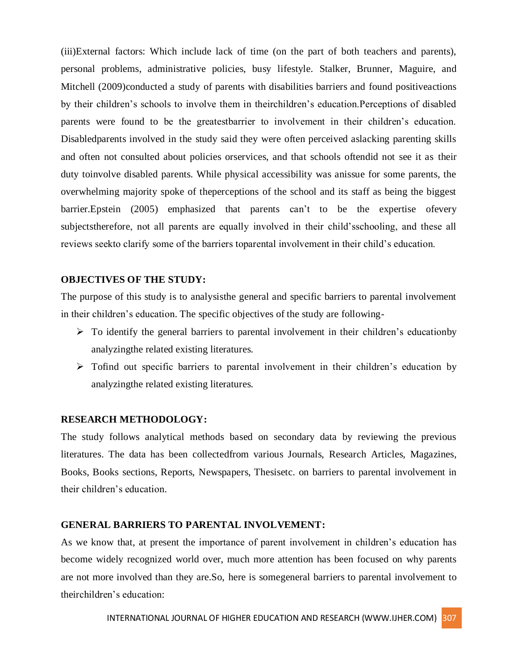(iii)External factors: Which include lack of time (on the part of both teachers and parents), personal problems, administrative policies, busy lifestyle. Stalker, Brunner, Maguire, and Mitchell (2009)conducted a study of parents with disabilities barriers and found positive actions by their children's schools to involve them in theirchildren's education.Perceptions of disabled parents were found to be the greatestbarrier to involvement in their children's education. Disabledparents involved in the study said they were often perceived aslacking parenting skills and often not consulted about policies orservices, and that schools oftendid not see it as their duty toinvolve disabled parents. While physical accessibility was anissue for some parents, the overwhelming majority spoke of theperceptions of the school and its staff as being the biggest barrier.Epstein (2005) emphasized that parents can't to be the expertise ofevery subjectstherefore, not all parents are equally involved in their child'sschooling, and these all reviews seekto clarify some of the barriers toparental involvement in their child's education.

# **OBJECTIVES OF THE STUDY:**

The purpose of this study is to analysisthe general and specific barriers to parental involvement in their children's education. The specific objectives of the study are following-

- $\triangleright$  To identify the general barriers to parental involvement in their children's educationby analyzingthe related existing literatures.
- $\triangleright$  Tofind out specific barriers to parental involvement in their children's education by analyzingthe related existing literatures.

# **RESEARCH METHODOLOGY:**

The study follows analytical methods based on secondary data by reviewing the previous literatures. The data has been collectedfrom various Journals, Research Articles, Magazines, Books, Books sections, Reports, Newspapers, Thesisetc. on barriers to parental involvement in their children's education.

#### **GENERAL BARRIERS TO PARENTAL INVOLVEMENT:**

As we know that, at present the importance of parent involvement in children's education has become widely recognized world over, much more attention has been focused on why parents are not more involved than they are.So, here is somegeneral barriers to parental involvement to theirchildren's education: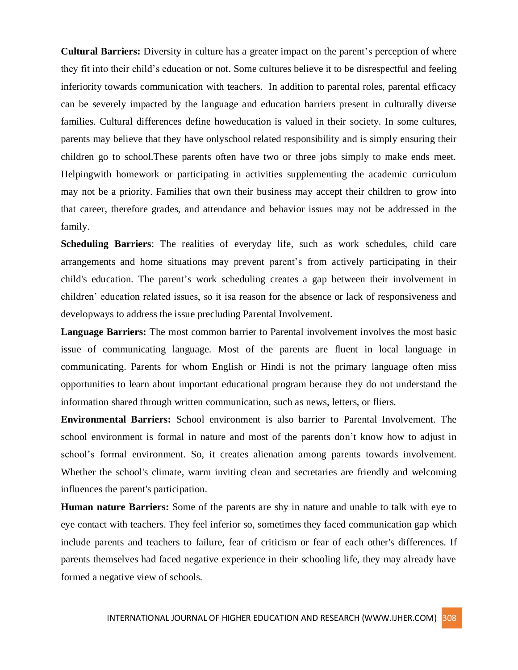**Cultural Barriers:** Diversity in culture has a greater impact on the parent's perception of where they fit into their child's education or not. Some cultures believe it to be disrespectful and feeling inferiority towards communication with teachers. In addition to parental roles, parental efficacy can be severely impacted by the language and education barriers present in culturally diverse families. Cultural differences define howeducation is valued in their society. In some cultures, parents may believe that they have onlyschool related responsibility and is simply ensuring their children go to school.These parents often have two or three jobs simply to make ends meet. Helpingwith homework or participating in activities supplementing the academic curriculum may not be a priority. Families that own their business may accept their children to grow into that career, therefore grades, and attendance and behavior issues may not be addressed in the family.

**Scheduling Barriers**: The realities of everyday life, such as work schedules, child care arrangements and home situations may prevent parent's from actively participating in their child's education. The parent's work scheduling creates a gap between their involvement in children' education related issues, so it isa reason for the absence or lack of responsiveness and developways to address the issue precluding Parental Involvement.

**Language Barriers:** The most common barrier to Parental involvement involves the most basic issue of communicating language. Most of the parents are fluent in local language in communicating. Parents for whom English or Hindi is not the primary language often miss opportunities to learn about important educational program because they do not understand the information shared through written communication, such as news, letters, or fliers.

**Environmental Barriers:** School environment is also barrier to Parental Involvement. The school environment is formal in nature and most of the parents don't know how to adjust in school's formal environment. So, it creates alienation among parents towards involvement. Whether the school's climate, warm inviting clean and secretaries are friendly and welcoming influences the parent's participation.

**Human nature Barriers:** Some of the parents are shy in nature and unable to talk with eye to eye contact with teachers. They feel inferior so, sometimes they faced communication gap which include parents and teachers to failure, fear of criticism or fear of each other's differences. If parents themselves had faced negative experience in their schooling life, they may already have formed a negative view of schools.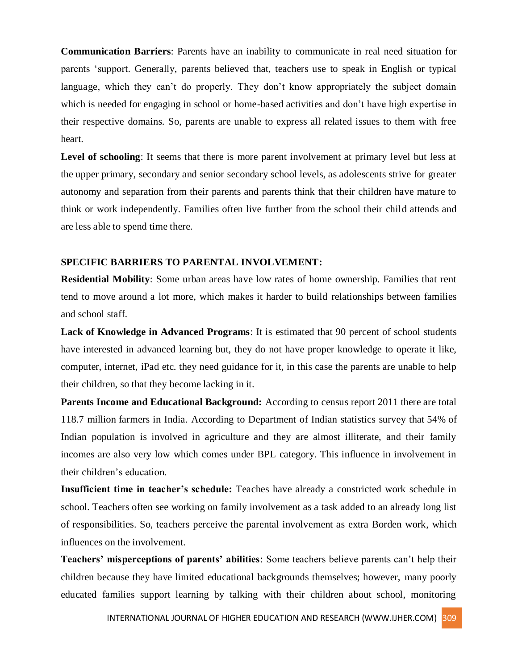**Communication Barriers**: Parents have an inability to communicate in real need situation for parents 'support. Generally, parents believed that, teachers use to speak in English or typical language, which they can't do properly. They don't know appropriately the subject domain which is needed for engaging in school or home-based activities and don't have high expertise in their respective domains. So, parents are unable to express all related issues to them with free heart.

Level of schooling: It seems that there is more parent involvement at primary level but less at the upper primary, secondary and senior secondary school levels, as adolescents strive for greater autonomy and separation from their parents and parents think that their children have mature to think or work independently. Families often live further from the school their child attends and are less able to spend time there.

# **SPECIFIC BARRIERS TO PARENTAL INVOLVEMENT:**

**Residential Mobility**: Some urban areas have low rates of home ownership. Families that rent tend to move around a lot more, which makes it harder to build relationships between families and school staff.

**Lack of Knowledge in Advanced Programs**: It is estimated that 90 percent of school students have interested in advanced learning but, they do not have proper knowledge to operate it like, computer, internet, iPad etc. they need guidance for it, in this case the parents are unable to help their children, so that they become lacking in it.

**Parents Income and Educational Background:** According to census report 2011 there are total 118.7 million farmers in India. According to Department of Indian statistics survey that 54% of Indian population is involved in agriculture and they are almost illiterate, and their family incomes are also very low which comes under BPL category. This influence in involvement in their children's education.

**Insufficient time in teacher's schedule:** Teaches have already a constricted work schedule in school. Teachers often see working on family involvement as a task added to an already long list of responsibilities. So, teachers perceive the parental involvement as extra Borden work, which influences on the involvement.

**Teachers' misperceptions of parents' abilities**: Some teachers believe parents can't help their children because they have limited educational backgrounds themselves; however, many poorly educated families support learning by talking with their children about school, monitoring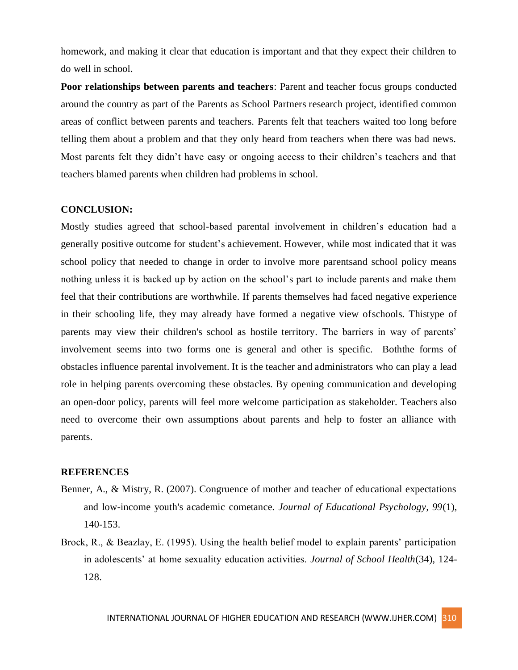homework, and making it clear that education is important and that they expect their children to do well in school.

**Poor relationships between parents and teachers**: Parent and teacher focus groups conducted around the country as part of the Parents as School Partners research project, identified common areas of conflict between parents and teachers. Parents felt that teachers waited too long before telling them about a problem and that they only heard from teachers when there was bad news. Most parents felt they didn't have easy or ongoing access to their children's teachers and that teachers blamed parents when children had problems in school.

#### **CONCLUSION:**

Mostly studies agreed that school-based parental involvement in children's education had a generally positive outcome for student's achievement. However, while most indicated that it was school policy that needed to change in order to involve more parentsand school policy means nothing unless it is backed up by action on the school's part to include parents and make them feel that their contributions are worthwhile. If parents themselves had faced negative experience in their schooling life, they may already have formed a negative view ofschools. Thistype of parents may view their children's school as hostile territory. The barriers in way of parents' involvement seems into two forms one is general and other is specific. Boththe forms of obstacles influence parental involvement. It is the teacher and administrators who can play a lead role in helping parents overcoming these obstacles. By opening communication and developing an open-door policy, parents will feel more welcome participation as stakeholder. Teachers also need to overcome their own assumptions about parents and help to foster an alliance with parents.

#### **REFERENCES**

- Benner, A., & Mistry, R. (2007). Congruence of mother and teacher of educational expectations and low-income youth's academic cometance. *Journal of Educational Psychology, 99*(1), 140-153.
- Brock, R., & Beazlay, E. (1995). Using the health belief model to explain parents' participation in adolescents' at home sexuality education activities. *Journal of School Health*(34), 124- 128.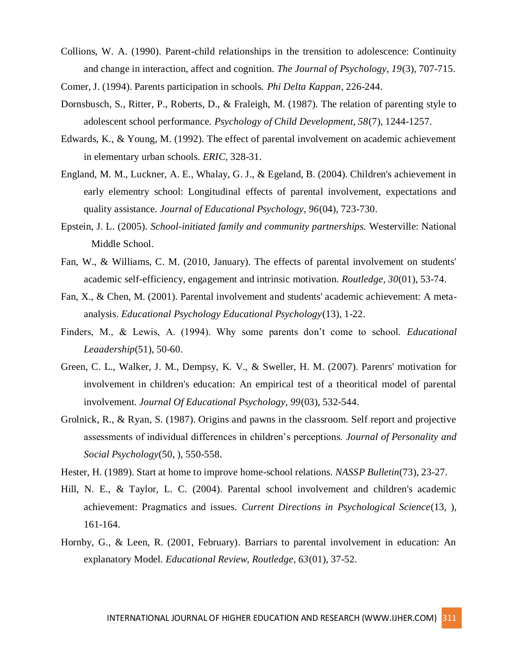Collions, W. A. (1990). Parent-child relationships in the trensition to adolescence: Continuity and change in interaction, affect and cognition. *The Journal of Psychology, 19*(3), 707-715.

Comer, J. (1994). Parents participation in schools. *Phi Delta Kappan*, 226-244.

- Dornsbusch, S., Ritter, P., Roberts, D., & Fraleigh, M. (1987). The relation of parenting style to adolescent school performance. *Psychology of Child Development, 58*(7), 1244-1257.
- Edwards, K., & Young, M. (1992). The effect of parental involvement on academic achievement in elementary urban schools. *ERIC*, 328-31.
- England, M. M., Luckner, A. E., Whalay, G. J., & Egeland, B. (2004). Children's achievement in early elementry school: Longitudinal effects of parental involvement, expectations and quality assistance. *Journal of Educational Psychology, 96*(04), 723-730.
- Epstein, J. L. (2005). *School-initiated family and community partnerships.* Westerville: National Middle School.
- Fan, W., & Williams, C. M. (2010, January). The effects of parental involvement on students' academic self-efficiency, engagement and intrinsic motivation. *Routledge, 30*(01), 53-74.
- Fan, X., & Chen, M. (2001). Parental involvement and students' academic achievement: A metaanalysis. *Educational Psychology Educational Psychology*(13), 1-22.
- Finders, M., & Lewis, A. (1994). Why some parents don't come to school. *Educational Leaadership*(51), 50-60.
- Green, C. L., Walker, J. M., Dempsy, K. V., & Sweller, H. M. (2007). Parenrs' motivation for involvement in children's education: An empirical test of a theoritical model of parental involvement. *Journal Of Educational Psychology, 99*(03), 532-544.
- Grolnick, R., & Ryan, S. (1987). Origins and pawns in the classroom. Self report and projective assessments of individual differences in children's perceptions. *Journal of Personality and Social Psychology*(50, ), 550-558.
- Hester, H. (1989). Start at home to improve home-school relations. *NASSP Bulletin*(73), 23-27.
- Hill, N. E., & Taylor, L. C. (2004). Parental school involvement and children's academic achievement: Pragmatics and issues. *Current Directions in Psychological Science*(13, ), 161-164.
- Hornby, G., & Leen, R. (2001, February). Barriars to parental involvement in education: An explanatory Model. *Educational Review, Routledge, 63*(01), 37-52.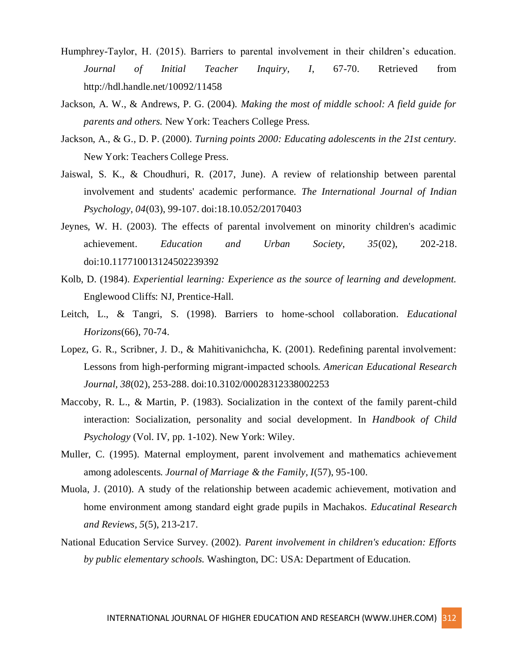- Humphrey-Taylor, H. (2015). Barriers to parental involvement in their children's education. *Journal of Initial Teacher Inquiry, I*, 67-70. Retrieved from http://hdl.handle.net/10092/11458
- Jackson, A. W., & Andrews, P. G. (2004). *Making the most of middle school: A field guide for parents and others.* New York: Teachers College Press.
- Jackson, A., & G., D. P. (2000). *Turning points 2000: Educating adolescents in the 21st century.* New York: Teachers College Press.
- Jaiswal, S. K., & Choudhuri, R. (2017, June). A review of relationship between parental involvement and students' academic performance. *The International Journal of Indian Psychology, 04*(03), 99-107. doi:18.10.052/20170403
- Jeynes, W. H. (2003). The effects of parental involvement on minority children's acadimic achievement. *Education and Urban Society, 35*(02), 202-218. doi:10.117710013124502239392
- Kolb, D. (1984). *Experiential learning: Experience as the source of learning and development.* Englewood Cliffs: NJ, Prentice-Hall.
- Leitch, L., & Tangri, S. (1998). Barriers to home-school collaboration. *Educational Horizons*(66), 70-74.
- Lopez, G. R., Scribner, J. D., & Mahitivanichcha, K. (2001). Redefining parental involvement: Lessons from high-performing migrant-impacted schools. *American Educational Research Journal, 38*(02), 253-288. doi:10.3102/00028312338002253
- Maccoby, R. L., & Martin, P. (1983). Socialization in the context of the family parent-child interaction: Socialization, personality and social development. In *Handbook of Child Psychology* (Vol. IV, pp. 1-102). New York: Wiley.
- Muller, C. (1995). Maternal employment, parent involvement and mathematics achievement among adolescents. *Journal of Marriage & the Family, I*(57), 95-100.
- Muola, J. (2010). A study of the relationship between academic achievement, motivation and home environment among standard eight grade pupils in Machakos. *Educatinal Research and Reviews, 5*(5), 213-217.
- National Education Service Survey. (2002). *Parent involvement in children's education: Efforts by public elementary schools.* Washington, DC: USA: Department of Education.